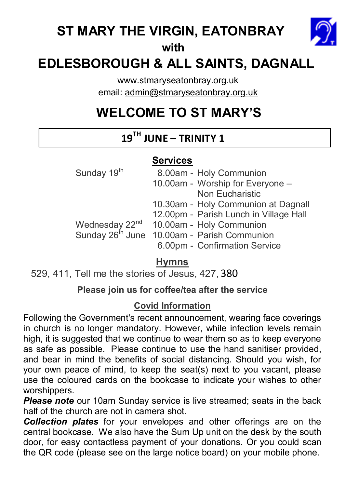## **ST MARY THE VIRGIN, EATONBRAY**



 **with** 

## **EDLESBOROUGH & ALL SAINTS, DAGNALL**

www.stmaryseatonbray.org.uk email: admin@stmaryseatonbray.org.uk

# **WELCOME TO ST MARY'S**

## **19TH JUNE – TRINITY 1**

## **Services**

| Sunday 19 <sup>th</sup> | 8.00am - Holy Communion<br>10.00am - Worship for Everyone -<br><b>Non Eucharistic</b>                                                                                                                                            |
|-------------------------|----------------------------------------------------------------------------------------------------------------------------------------------------------------------------------------------------------------------------------|
|                         | 10.30am - Holy Communion at Dagnall<br>12.00pm - Parish Lunch in Village Hall<br>Wednesday 22 <sup>nd</sup> 10.00am - Holy Communion<br>Sunday 26 <sup>th</sup> June 10.00am - Parish Communion<br>6.00pm - Confirmation Service |

## **Hymns**

 $529, 411,$  Tell me the stories of Jesus, 427, 380

## **Please join us for coffee/tea after the service**

### **Covid Information**

Following the Government's recent announcement, wearing face coverings in church is no longer mandatory. However, while infection levels remain high, it is suggested that we continue to wear them so as to keep everyone as safe as possible. Please continue to use the hand sanitiser provided, and bear in mind the benefits of social distancing. Should you wish, for your own peace of mind, to keep the seat(s) next to you vacant, please use the coloured cards on the bookcase to indicate your wishes to other worshippers.

**Please note** our 10am Sunday service is live streamed; seats in the back half of the church are not in camera shot.

*Collection plates* for your envelopes and other offerings are on the central bookcase. We also have the Sum Up unit on the desk by the south door, for easy contactless payment of your donations. Or you could scan the QR code (please see on the large notice board) on your mobile phone.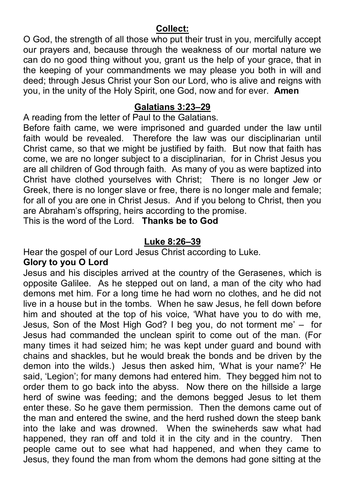#### **Collect:**

O God, the strength of all those who put their trust in you, mercifully accept our prayers and, because through the weakness of our mortal nature we can do no good thing without you, grant us the help of your grace, that in the keeping of your commandments we may please you both in will and deed; through Jesus Christ your Son our Lord, who is alive and reigns with you, in the unity of the Holy Spirit, one God, now and for ever. **Amen**

#### **Galatians 3:23–29**

A reading from the letter of Paul to the Galatians.

Before faith came, we were imprisoned and guarded under the law until faith would be revealed. Therefore the law was our disciplinarian until Christ came, so that we might be justified by faith. But now that faith has come, we are no longer subject to a disciplinarian, for in Christ Jesus you are all children of God through faith. As many of you as were baptized into Christ have clothed yourselves with Christ; There is no longer Jew or Greek, there is no longer slave or free, there is no longer male and female; for all of you are one in Christ Jesus. And if you belong to Christ, then you are Abraham's offspring, heirs according to the promise.

This is the word of the Lord. **Thanks be to God** 

#### **Luke 8:26–39**

Hear the gospel of our Lord Jesus Christ according to Luke.

#### **Glory to you O Lord**

Jesus and his disciples arrived at the country of the Gerasenes, which is opposite Galilee. As he stepped out on land, a man of the city who had demons met him. For a long time he had worn no clothes, and he did not live in a house but in the tombs. When he saw Jesus, he fell down before him and shouted at the top of his voice, 'What have you to do with me, Jesus, Son of the Most High God? I beg you, do not torment me' – for Jesus had commanded the unclean spirit to come out of the man. (For many times it had seized him; he was kept under guard and bound with chains and shackles, but he would break the bonds and be driven by the demon into the wilds.) Jesus then asked him, 'What is your name?' He said, 'Legion'; for many demons had entered him. They begged him not to order them to go back into the abyss. Now there on the hillside a large herd of swine was feeding; and the demons begged Jesus to let them enter these. So he gave them permission. Then the demons came out of the man and entered the swine, and the herd rushed down the steep bank into the lake and was drowned. When the swineherds saw what had happened, they ran off and told it in the city and in the country. Then people came out to see what had happened, and when they came to Jesus, they found the man from whom the demons had gone sitting at the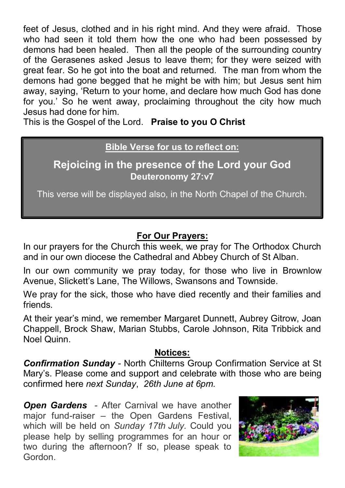feet of Jesus, clothed and in his right mind. And they were afraid. Those who had seen it told them how the one who had been possessed by demons had been healed. Then all the people of the surrounding country of the Gerasenes asked Jesus to leave them; for they were seized with great fear. So he got into the boat and returned. The man from whom the demons had gone begged that he might be with him; but Jesus sent him away, saying, 'Return to your home, and declare how much God has done for you.' So he went away, proclaiming throughout the city how much Jesus had done for him.

This is the Gospel of the Lord. **Praise to you O Christ**

### **Bible Verse for us to reflect on:**

**Rejoicing in the presence of the Lord your God Deuteronomy 27:v7** 

This verse will be displayed also, in the North Chapel of the Church.

### **For Our Prayers:**

In our prayers for the Church this week, we pray for The Orthodox Church and in our own diocese the Cathedral and Abbey Church of St Alban.

In our own community we pray today, for those who live in Brownlow Avenue, Slickett's Lane, The Willows, Swansons and Townside.

We pray for the sick, those who have died recently and their families and friends.

At their year's mind, we remember Margaret Dunnett, Aubrey Gitrow, Joan Chappell, Brock Shaw, Marian Stubbs, Carole Johnson, Rita Tribbick and Noel Quinn.

#### **Notices:**

*Confirmation Sunday* - North Chilterns Group Confirmation Service at St Mary's. Please come and support and celebrate with those who are being confirmed here *next Sunday*, *26th June at 6pm.*

*Open Gardens* - After Carnival we have another major fund-raiser – the Open Gardens Festival, which will be held on *Sunday 17th July.* Could you please help by selling programmes for an hour or two during the afternoon? If so, please speak to Gordon.